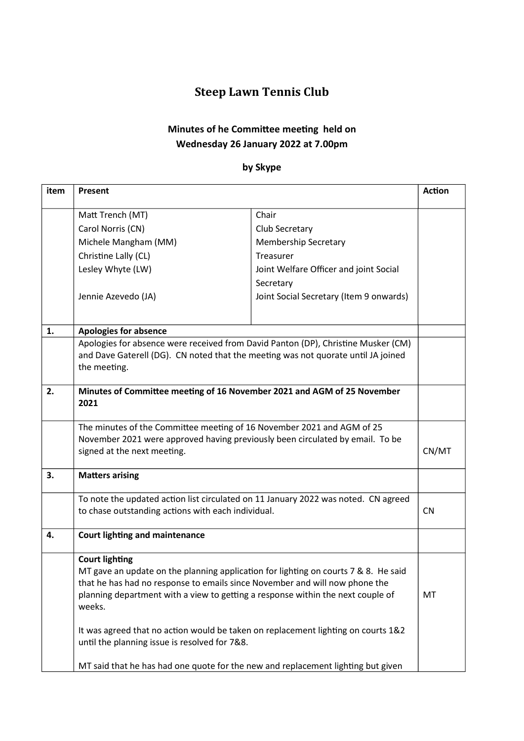# Steep Lawn Tennis Club

# Minutes of he Committee meeting held on Wednesday 26 January 2022 at 7.00pm

### by Skype

| item | Present                                                                                                                                                                                                                                                                                                                                                                                                                        |                                         | <b>Action</b> |
|------|--------------------------------------------------------------------------------------------------------------------------------------------------------------------------------------------------------------------------------------------------------------------------------------------------------------------------------------------------------------------------------------------------------------------------------|-----------------------------------------|---------------|
|      | Matt Trench (MT)                                                                                                                                                                                                                                                                                                                                                                                                               | Chair                                   |               |
|      | Carol Norris (CN)                                                                                                                                                                                                                                                                                                                                                                                                              | Club Secretary                          |               |
|      | Michele Mangham (MM)                                                                                                                                                                                                                                                                                                                                                                                                           | <b>Membership Secretary</b>             |               |
|      | Christine Lally (CL)                                                                                                                                                                                                                                                                                                                                                                                                           | Treasurer                               |               |
|      | Lesley Whyte (LW)                                                                                                                                                                                                                                                                                                                                                                                                              | Joint Welfare Officer and joint Social  |               |
|      |                                                                                                                                                                                                                                                                                                                                                                                                                                | Secretary                               |               |
|      | Jennie Azevedo (JA)                                                                                                                                                                                                                                                                                                                                                                                                            | Joint Social Secretary (Item 9 onwards) |               |
| 1.   | <b>Apologies for absence</b>                                                                                                                                                                                                                                                                                                                                                                                                   |                                         |               |
|      | Apologies for absence were received from David Panton (DP), Christine Musker (CM)<br>and Dave Gaterell (DG). CN noted that the meeting was not quorate until JA joined<br>the meeting.                                                                                                                                                                                                                                         |                                         |               |
| 2.   | Minutes of Committee meeting of 16 November 2021 and AGM of 25 November<br>2021                                                                                                                                                                                                                                                                                                                                                |                                         |               |
|      | The minutes of the Committee meeting of 16 November 2021 and AGM of 25<br>November 2021 were approved having previously been circulated by email. To be<br>signed at the next meeting.                                                                                                                                                                                                                                         |                                         | CN/MT         |
| 3.   | <b>Matters arising</b><br>To note the updated action list circulated on 11 January 2022 was noted. CN agreed<br>to chase outstanding actions with each individual.                                                                                                                                                                                                                                                             |                                         |               |
|      |                                                                                                                                                                                                                                                                                                                                                                                                                                |                                         | <b>CN</b>     |
| 4.   | <b>Court lighting and maintenance</b>                                                                                                                                                                                                                                                                                                                                                                                          |                                         |               |
|      | <b>Court lighting</b><br>MT gave an update on the planning application for lighting on courts 7 & 8. He said<br>that he has had no response to emails since November and will now phone the<br>planning department with a view to getting a response within the next couple of<br>weeks.<br>It was agreed that no action would be taken on replacement lighting on courts 1&2<br>until the planning issue is resolved for 7&8. |                                         | MT            |
|      | MT said that he has had one quote for the new and replacement lighting but given                                                                                                                                                                                                                                                                                                                                               |                                         |               |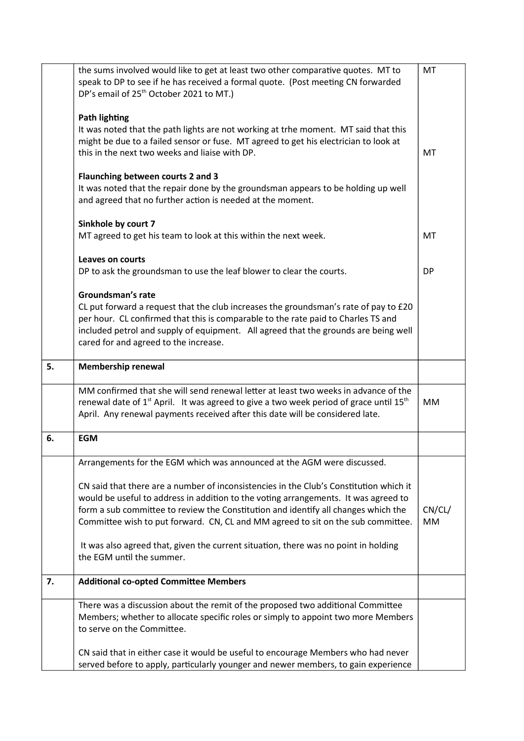|    | the sums involved would like to get at least two other comparative quotes. MT to<br>speak to DP to see if he has received a formal quote. (Post meeting CN forwarded<br>DP's email of 25 <sup>th</sup> October 2021 to MT.)                                                                                                                             |              |  |
|----|---------------------------------------------------------------------------------------------------------------------------------------------------------------------------------------------------------------------------------------------------------------------------------------------------------------------------------------------------------|--------------|--|
|    | <b>Path lighting</b><br>It was noted that the path lights are not working at trhe moment. MT said that this<br>might be due to a failed sensor or fuse. MT agreed to get his electrician to look at<br>this in the next two weeks and liaise with DP.                                                                                                   | MT           |  |
|    | Flaunching between courts 2 and 3<br>It was noted that the repair done by the groundsman appears to be holding up well<br>and agreed that no further action is needed at the moment.                                                                                                                                                                    |              |  |
|    | Sinkhole by court 7<br>MT agreed to get his team to look at this within the next week.                                                                                                                                                                                                                                                                  | <b>MT</b>    |  |
|    | Leaves on courts<br>DP to ask the groundsman to use the leaf blower to clear the courts.                                                                                                                                                                                                                                                                | <b>DP</b>    |  |
|    | Groundsman's rate<br>CL put forward a request that the club increases the groundsman's rate of pay to £20<br>per hour. CL confirmed that this is comparable to the rate paid to Charles TS and<br>included petrol and supply of equipment. All agreed that the grounds are being well<br>cared for and agreed to the increase.                          |              |  |
| 5. | Membership renewal                                                                                                                                                                                                                                                                                                                                      |              |  |
|    | MM confirmed that she will send renewal letter at least two weeks in advance of the<br>renewal date of $1st$ April. It was agreed to give a two week period of grace until 15 <sup>th</sup><br>April. Any renewal payments received after this date will be considered late.                                                                            | MM           |  |
| 6. | <b>EGM</b>                                                                                                                                                                                                                                                                                                                                              |              |  |
|    | Arrangements for the EGM which was announced at the AGM were discussed.                                                                                                                                                                                                                                                                                 |              |  |
|    | CN said that there are a number of inconsistencies in the Club's Constitution which it<br>would be useful to address in addition to the voting arrangements. It was agreed to<br>form a sub committee to review the Constitution and identify all changes which the<br>Committee wish to put forward. CN, CL and MM agreed to sit on the sub committee. | CN/CL/<br>MM |  |
|    | It was also agreed that, given the current situation, there was no point in holding<br>the EGM until the summer.                                                                                                                                                                                                                                        |              |  |
| 7. | <b>Additional co-opted Committee Members</b>                                                                                                                                                                                                                                                                                                            |              |  |
|    | There was a discussion about the remit of the proposed two additional Committee<br>Members; whether to allocate specific roles or simply to appoint two more Members<br>to serve on the Committee.                                                                                                                                                      |              |  |
|    | CN said that in either case it would be useful to encourage Members who had never<br>served before to apply, particularly younger and newer members, to gain experience                                                                                                                                                                                 |              |  |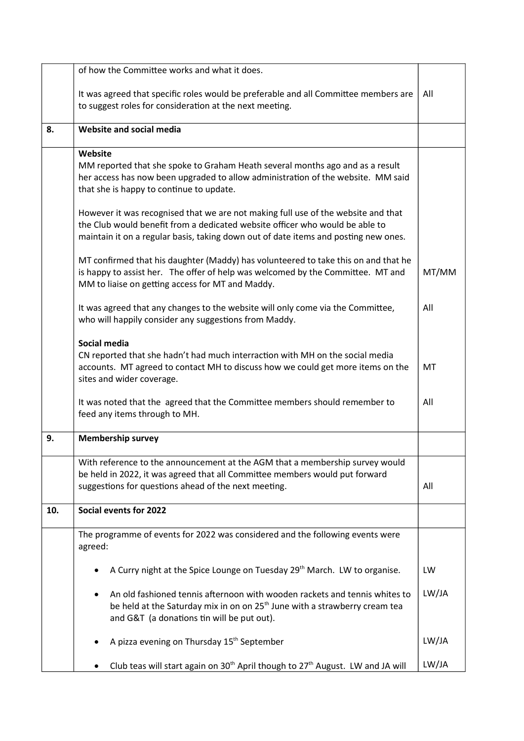|     | of how the Committee works and what it does.                                                                                                                                                                                                                                                               |  |  |
|-----|------------------------------------------------------------------------------------------------------------------------------------------------------------------------------------------------------------------------------------------------------------------------------------------------------------|--|--|
|     | It was agreed that specific roles would be preferable and all Committee members are<br>to suggest roles for consideration at the next meeting.                                                                                                                                                             |  |  |
| 8.  | Website and social media                                                                                                                                                                                                                                                                                   |  |  |
|     | Website<br>MM reported that she spoke to Graham Heath several months ago and as a result<br>her access has now been upgraded to allow administration of the website. MM said<br>that she is happy to continue to update.                                                                                   |  |  |
|     | However it was recognised that we are not making full use of the website and that<br>the Club would benefit from a dedicated website officer who would be able to<br>maintain it on a regular basis, taking down out of date items and posting new ones.                                                   |  |  |
|     | MT confirmed that his daughter (Maddy) has volunteered to take this on and that he<br>is happy to assist her. The offer of help was welcomed by the Committee. MT and<br>MM to liaise on getting access for MT and Maddy.                                                                                  |  |  |
|     | It was agreed that any changes to the website will only come via the Committee,<br>who will happily consider any suggestions from Maddy.                                                                                                                                                                   |  |  |
|     | Social media<br>CN reported that she hadn't had much interraction with MH on the social media<br>accounts. MT agreed to contact MH to discuss how we could get more items on the<br>sites and wider coverage.<br>It was noted that the agreed that the Committee members should remember to                |  |  |
|     | feed any items through to MH.                                                                                                                                                                                                                                                                              |  |  |
| 9.  | <b>Membership survey</b>                                                                                                                                                                                                                                                                                   |  |  |
|     | With reference to the announcement at the AGM that a membership survey would<br>be held in 2022, it was agreed that all Committee members would put forward<br>suggestions for questions ahead of the next meeting.                                                                                        |  |  |
| 10. | Social events for 2022                                                                                                                                                                                                                                                                                     |  |  |
|     | The programme of events for 2022 was considered and the following events were<br>agreed:                                                                                                                                                                                                                   |  |  |
|     | A Curry night at the Spice Lounge on Tuesday 29 <sup>th</sup> March. LW to organise.<br>An old fashioned tennis afternoon with wooden rackets and tennis whites to<br>be held at the Saturday mix in on on 25 <sup>th</sup> June with a strawberry cream tea<br>and G&T (a donations tin will be put out). |  |  |
|     |                                                                                                                                                                                                                                                                                                            |  |  |
|     | A pizza evening on Thursday 15 <sup>th</sup> September                                                                                                                                                                                                                                                     |  |  |
|     | Club teas will start again on 30 <sup>th</sup> April though to 27 <sup>th</sup> August. LW and JA will                                                                                                                                                                                                     |  |  |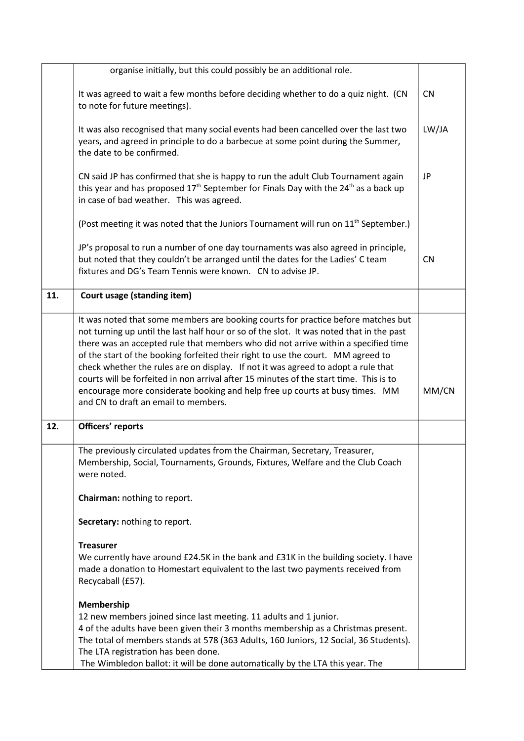|     | organise initially, but this could possibly be an additional role.                                                                                                                                                                                                                                                                                                                                                                                                                                                                                                                                                                                             |           |
|-----|----------------------------------------------------------------------------------------------------------------------------------------------------------------------------------------------------------------------------------------------------------------------------------------------------------------------------------------------------------------------------------------------------------------------------------------------------------------------------------------------------------------------------------------------------------------------------------------------------------------------------------------------------------------|-----------|
|     | It was agreed to wait a few months before deciding whether to do a quiz night. (CN<br>to note for future meetings).                                                                                                                                                                                                                                                                                                                                                                                                                                                                                                                                            |           |
|     | It was also recognised that many social events had been cancelled over the last two<br>years, and agreed in principle to do a barbecue at some point during the Summer,<br>the date to be confirmed.                                                                                                                                                                                                                                                                                                                                                                                                                                                           |           |
|     | CN said JP has confirmed that she is happy to run the adult Club Tournament again<br>this year and has proposed 17 <sup>th</sup> September for Finals Day with the 24 <sup>th</sup> as a back up<br>in case of bad weather. This was agreed.                                                                                                                                                                                                                                                                                                                                                                                                                   |           |
|     | (Post meeting it was noted that the Juniors Tournament will run on 11 <sup>th</sup> September.)                                                                                                                                                                                                                                                                                                                                                                                                                                                                                                                                                                |           |
|     | JP's proposal to run a number of one day tournaments was also agreed in principle,<br>but noted that they couldn't be arranged until the dates for the Ladies' C team<br>fixtures and DG's Team Tennis were known. CN to advise JP.                                                                                                                                                                                                                                                                                                                                                                                                                            | <b>CN</b> |
| 11. | Court usage (standing item)                                                                                                                                                                                                                                                                                                                                                                                                                                                                                                                                                                                                                                    |           |
|     | It was noted that some members are booking courts for practice before matches but<br>not turning up until the last half hour or so of the slot. It was noted that in the past<br>there was an accepted rule that members who did not arrive within a specified time<br>of the start of the booking forfeited their right to use the court. MM agreed to<br>check whether the rules are on display. If not it was agreed to adopt a rule that<br>courts will be forfeited in non arrival after 15 minutes of the start time. This is to<br>encourage more considerate booking and help free up courts at busy times. MM<br>and CN to draft an email to members. | MM/CN     |
| 12. | Officers' reports                                                                                                                                                                                                                                                                                                                                                                                                                                                                                                                                                                                                                                              |           |
|     | The previously circulated updates from the Chairman, Secretary, Treasurer,<br>Membership, Social, Tournaments, Grounds, Fixtures, Welfare and the Club Coach<br>were noted.                                                                                                                                                                                                                                                                                                                                                                                                                                                                                    |           |
|     | Chairman: nothing to report.                                                                                                                                                                                                                                                                                                                                                                                                                                                                                                                                                                                                                                   |           |
|     | Secretary: nothing to report.                                                                                                                                                                                                                                                                                                                                                                                                                                                                                                                                                                                                                                  |           |
|     | <b>Treasurer</b><br>We currently have around £24.5K in the bank and £31K in the building society. I have<br>made a donation to Homestart equivalent to the last two payments received from<br>Recycaball (£57).                                                                                                                                                                                                                                                                                                                                                                                                                                                |           |
|     | Membership<br>12 new members joined since last meeting. 11 adults and 1 junior.<br>4 of the adults have been given their 3 months membership as a Christmas present.<br>The total of members stands at 578 (363 Adults, 160 Juniors, 12 Social, 36 Students).<br>The LTA registration has been done.<br>The Wimbledon ballot: it will be done automatically by the LTA this year. The                                                                                                                                                                                                                                                                          |           |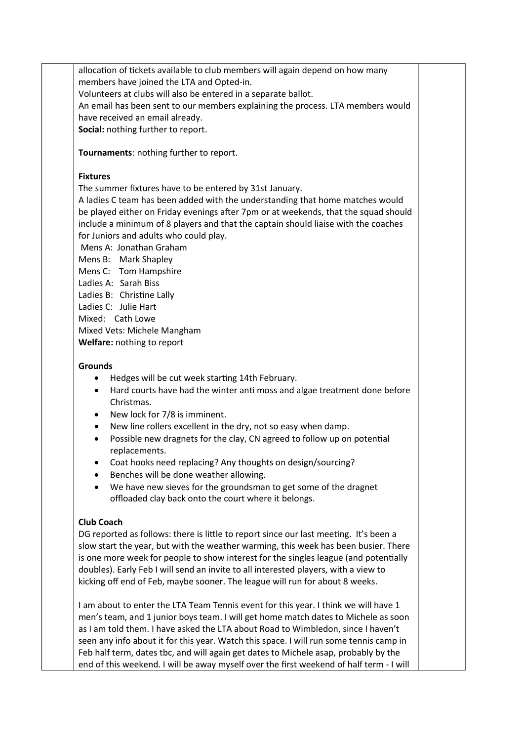allocation of tickets available to club members will again depend on how many members have joined the LTA and Opted-in. Volunteers at clubs will also be entered in a separate ballot. An email has been sent to our members explaining the process. LTA members would have received an email already. Social: nothing further to report.

Tournaments: nothing further to report.

#### **Fixtures**

The summer fixtures have to be entered by 31st January.

A ladies C team has been added with the understanding that home matches would be played either on Friday evenings after 7pm or at weekends, that the squad should include a minimum of 8 players and that the captain should liaise with the coaches for Juniors and adults who could play.

Mens A: Jonathan Graham

Mens B: Mark Shapley

Mens C: Tom Hampshire

Ladies A: Sarah Biss

Ladies B: Christine Lally

Ladies C: Julie Hart

Mixed: Cath Lowe

Mixed Vets: Michele Mangham

Welfare: nothing to report

#### **Grounds**

- Hedges will be cut week starting 14th February.
- Hard courts have had the winter anti moss and algae treatment done before Christmas.
- New lock for 7/8 is imminent.
- New line rollers excellent in the dry, not so easy when damp.
- Possible new dragnets for the clay, CN agreed to follow up on potential replacements.
- Coat hooks need replacing? Any thoughts on design/sourcing?
- Benches will be done weather allowing.
- We have new sieves for the groundsman to get some of the dragnet offloaded clay back onto the court where it belongs.

#### Club Coach

DG reported as follows: there is little to report since our last meeting. It's been a slow start the year, but with the weather warming, this week has been busier. There is one more week for people to show interest for the singles league (and potentially doubles). Early Feb I will send an invite to all interested players, with a view to kicking off end of Feb, maybe sooner. The league will run for about 8 weeks.

I am about to enter the LTA Team Tennis event for this year. I think we will have 1 men's team, and 1 junior boys team. I will get home match dates to Michele as soon as I am told them. I have asked the LTA about Road to Wimbledon, since I haven't seen any info about it for this year. Watch this space. I will run some tennis camp in Feb half term, dates tbc, and will again get dates to Michele asap, probably by the end of this weekend. I will be away myself over the first weekend of half term - I will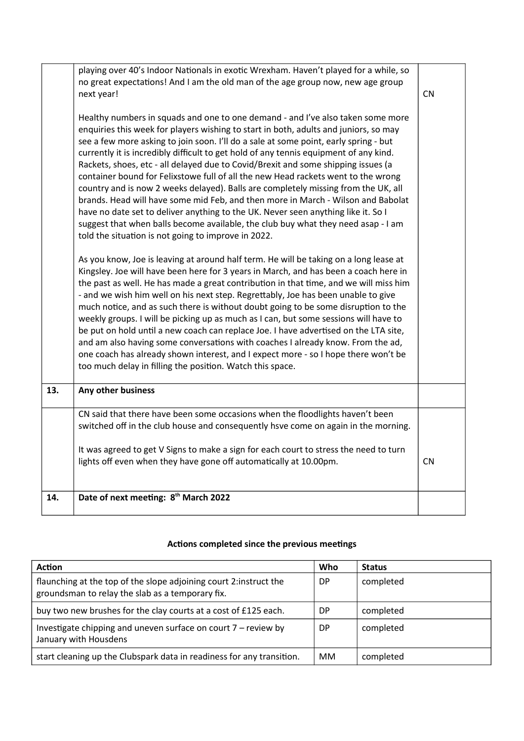|     | playing over 40's Indoor Nationals in exotic Wrexham. Haven't played for a while, so<br>no great expectations! And I am the old man of the age group now, new age group<br>next year!<br>Healthy numbers in squads and one to one demand - and I've also taken some more<br>enquiries this week for players wishing to start in both, adults and juniors, so may<br>see a few more asking to join soon. I'll do a sale at some point, early spring - but<br>currently it is incredibly difficult to get hold of any tennis equipment of any kind.<br>Rackets, shoes, etc - all delayed due to Covid/Brexit and some shipping issues (a<br>container bound for Felixstowe full of all the new Head rackets went to the wrong<br>country and is now 2 weeks delayed). Balls are completely missing from the UK, all<br>brands. Head will have some mid Feb, and then more in March - Wilson and Babolat<br>have no date set to deliver anything to the UK. Never seen anything like it. So I<br>suggest that when balls become available, the club buy what they need asap - I am<br>told the situation is not going to improve in 2022.<br>As you know, Joe is leaving at around half term. He will be taking on a long lease at<br>Kingsley. Joe will have been here for 3 years in March, and has been a coach here in<br>the past as well. He has made a great contribution in that time, and we will miss him<br>- and we wish him well on his next step. Regrettably, Joe has been unable to give<br>much notice, and as such there is without doubt going to be some disruption to the<br>weekly groups. I will be picking up as much as I can, but some sessions will have to<br>be put on hold until a new coach can replace Joe. I have advertised on the LTA site,<br>and am also having some conversations with coaches I already know. From the ad,<br>one coach has already shown interest, and I expect more - so I hope there won't be<br>too much delay in filling the position. Watch this space.<br>Any other business |           |
|-----|-----------------------------------------------------------------------------------------------------------------------------------------------------------------------------------------------------------------------------------------------------------------------------------------------------------------------------------------------------------------------------------------------------------------------------------------------------------------------------------------------------------------------------------------------------------------------------------------------------------------------------------------------------------------------------------------------------------------------------------------------------------------------------------------------------------------------------------------------------------------------------------------------------------------------------------------------------------------------------------------------------------------------------------------------------------------------------------------------------------------------------------------------------------------------------------------------------------------------------------------------------------------------------------------------------------------------------------------------------------------------------------------------------------------------------------------------------------------------------------------------------------------------------------------------------------------------------------------------------------------------------------------------------------------------------------------------------------------------------------------------------------------------------------------------------------------------------------------------------------------------------------------------------------------------------------------------------------------------------------------------------------------------------------------|-----------|
| 13. |                                                                                                                                                                                                                                                                                                                                                                                                                                                                                                                                                                                                                                                                                                                                                                                                                                                                                                                                                                                                                                                                                                                                                                                                                                                                                                                                                                                                                                                                                                                                                                                                                                                                                                                                                                                                                                                                                                                                                                                                                                         |           |
|     | CN said that there have been some occasions when the floodlights haven't been<br>switched off in the club house and consequently hsve come on again in the morning.<br>It was agreed to get V Signs to make a sign for each court to stress the need to turn                                                                                                                                                                                                                                                                                                                                                                                                                                                                                                                                                                                                                                                                                                                                                                                                                                                                                                                                                                                                                                                                                                                                                                                                                                                                                                                                                                                                                                                                                                                                                                                                                                                                                                                                                                            |           |
|     | lights off even when they have gone off automatically at 10.00pm.                                                                                                                                                                                                                                                                                                                                                                                                                                                                                                                                                                                                                                                                                                                                                                                                                                                                                                                                                                                                                                                                                                                                                                                                                                                                                                                                                                                                                                                                                                                                                                                                                                                                                                                                                                                                                                                                                                                                                                       | <b>CN</b> |
| 14. | Date of next meeting: 8 <sup>th</sup> March 2022                                                                                                                                                                                                                                                                                                                                                                                                                                                                                                                                                                                                                                                                                                                                                                                                                                                                                                                                                                                                                                                                                                                                                                                                                                                                                                                                                                                                                                                                                                                                                                                                                                                                                                                                                                                                                                                                                                                                                                                        |           |

## Actions completed since the previous meetings

| <b>Action</b>                                                                                                         | Who | <b>Status</b> |
|-----------------------------------------------------------------------------------------------------------------------|-----|---------------|
| flaunching at the top of the slope adjoining court 2:instruct the<br>groundsman to relay the slab as a temporary fix. | DP. | completed     |
| buy two new brushes for the clay courts at a cost of £125 each.                                                       | DP. | completed     |
| Investigate chipping and uneven surface on court 7 – review by<br>January with Housdens                               | DP. | completed     |
| start cleaning up the Clubspark data in readiness for any transition.                                                 | MМ  | completed     |